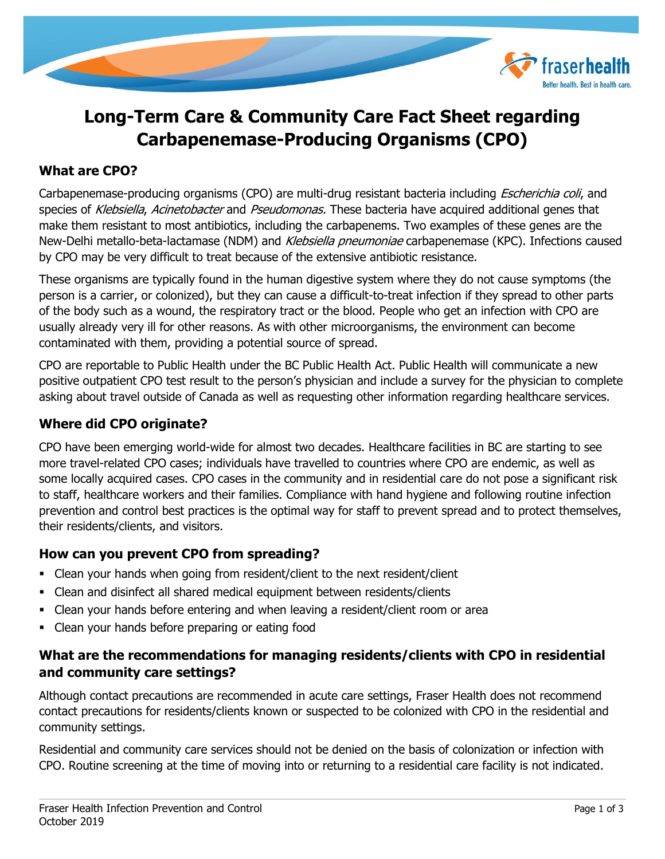

# **Long-Term Care & Community Care Fact Sheet regarding Carbapenemase-Producing Organisms (CPO)**

## **What are CPO?**

Carbapenemase-producing organisms (CPO) are multi-drug resistant bacteria including *Escherichia coli*, and species of Klebsiella, Acinetobacter and Pseudomonas. These bacteria have acquired additional genes that make them resistant to most antibiotics, including the carbapenems. Two examples of these genes are the New-Delhi metallo-beta-lactamase (NDM) and Klebsiella pneumoniae carbapenemase (KPC). Infections caused by CPO may be very difficult to treat because of the extensive antibiotic resistance.

These organisms are typically found in the human digestive system where they do not cause symptoms (the person is a carrier, or colonized), but they can cause a difficult-to-treat infection if they spread to other parts of the body such as a wound, the respiratory tract or the blood. People who get an infection with CPO are usually already very ill for other reasons. As with other microorganisms, the environment can become contaminated with them, providing a potential source of spread.

CPO are reportable to Public Health under the BC Public Health Act. Public Health will communicate a new positive outpatient CPO test result to the person's physician and include a survey for the physician to complete asking about travel outside of Canada as well as requesting other information regarding healthcare services.

### **Where did CPO originate?**

CPO have been emerging world-wide for almost two decades. Healthcare facilities in BC are starting to see more travel-related CPO cases; individuals have travelled to countries where CPO are endemic, as well as some locally acquired cases. CPO cases in the community and in residential care do not pose a significant risk to staff, healthcare workers and their families. Compliance with hand hygiene and following routine infection prevention and control best practices is the optimal way for staff to prevent spread and to protect themselves, their residents/clients, and visitors.

# **How can you prevent CPO from spreading?**

- Clean your hands when going from resident/client to the next resident/client
- Clean and disinfect all shared medical equipment between residents/clients
- Clean your hands before entering and when leaving a resident/client room or area
- Clean your hands before preparing or eating food

# **What are the recommendations for managing residents/clients with CPO in residential and community care settings?**

Although contact precautions are recommended in acute care settings, Fraser Health does not recommend contact precautions for residents/clients known or suspected to be colonized with CPO in the residential and community settings.

Residential and community care services should not be denied on the basis of colonization or infection with CPO. Routine screening at the time of moving into or returning to a residential care facility is not indicated.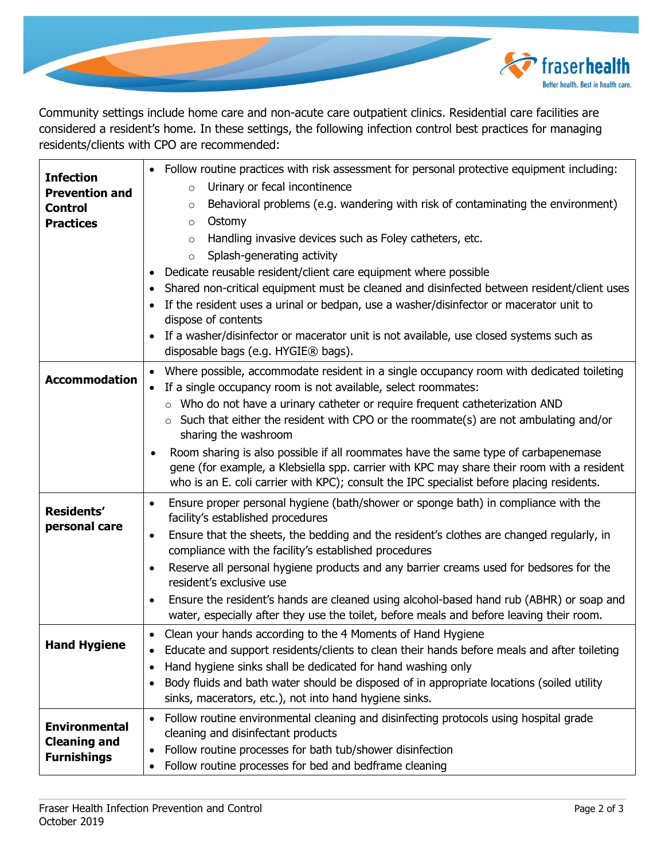

Community settings include home care and non-acute care outpatient clinics. Residential care facilities are considered a resident's home. In these settings, the following infection control best practices for managing residents/clients with CPO are recommended:

| <b>Infection</b><br><b>Prevention and</b><br><b>Control</b><br><b>Practices</b> | • Follow routine practices with risk assessment for personal protective equipment including:<br>Urinary or fecal incontinence<br>$\circ$<br>Behavioral problems (e.g. wandering with risk of contaminating the environment)<br>$\circ$<br>Ostomy<br>$\circ$<br>Handling invasive devices such as Foley catheters, etc.<br>$\circ$<br>Splash-generating activity<br>$\circ$<br>Dedicate reusable resident/client care equipment where possible<br>$\bullet$<br>Shared non-critical equipment must be cleaned and disinfected between resident/client uses<br>• If the resident uses a urinal or bedpan, use a washer/disinfector or macerator unit to<br>dispose of contents<br>If a washer/disinfector or macerator unit is not available, use closed systems such as<br>$\bullet$<br>disposable bags (e.g. HYGIE® bags). |
|---------------------------------------------------------------------------------|---------------------------------------------------------------------------------------------------------------------------------------------------------------------------------------------------------------------------------------------------------------------------------------------------------------------------------------------------------------------------------------------------------------------------------------------------------------------------------------------------------------------------------------------------------------------------------------------------------------------------------------------------------------------------------------------------------------------------------------------------------------------------------------------------------------------------|
| <b>Accommodation</b>                                                            | Where possible, accommodate resident in a single occupancy room with dedicated toileting<br>If a single occupancy room is not available, select roommates:<br>$\bullet$<br>$\circ$ Who do not have a urinary catheter or require frequent catheterization AND<br>Such that either the resident with CPO or the roommate(s) are not ambulating and/or<br>sharing the washroom<br>Room sharing is also possible if all roommates have the same type of carbapenemase<br>$\bullet$<br>gene (for example, a Klebsiella spp. carrier with KPC may share their room with a resident<br>who is an E. coli carrier with KPC); consult the IPC specialist before placing residents.                                                                                                                                                |
| <b>Residents'</b><br>personal care                                              | Ensure proper personal hygiene (bath/shower or sponge bath) in compliance with the<br>$\bullet$<br>facility's established procedures<br>Ensure that the sheets, the bedding and the resident's clothes are changed regularly, in<br>$\bullet$<br>compliance with the facility's established procedures<br>Reserve all personal hygiene products and any barrier creams used for bedsores for the<br>$\bullet$<br>resident's exclusive use<br>Ensure the resident's hands are cleaned using alcohol-based hand rub (ABHR) or soap and<br>$\bullet$<br>water, especially after they use the toilet, before meals and before leaving their room.                                                                                                                                                                             |
| <b>Hand Hygiene</b>                                                             | Clean your hands according to the 4 Moments of Hand Hygiene<br>$\bullet$<br>Educate and support residents/clients to clean their hands before meals and after toileting<br>Hand hygiene sinks shall be dedicated for hand washing only<br>٠<br>Body fluids and bath water should be disposed of in appropriate locations (soiled utility<br>sinks, macerators, etc.), not into hand hygiene sinks.                                                                                                                                                                                                                                                                                                                                                                                                                        |
| <b>Environmental</b><br><b>Cleaning and</b><br><b>Furnishings</b>               | Follow routine environmental cleaning and disinfecting protocols using hospital grade<br>$\bullet$<br>cleaning and disinfectant products<br>Follow routine processes for bath tub/shower disinfection<br>Follow routine processes for bed and bedframe cleaning<br>٠                                                                                                                                                                                                                                                                                                                                                                                                                                                                                                                                                      |